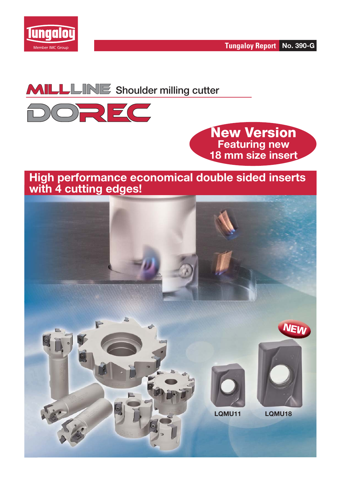



**MILLLINE** Shoulder milling cutter



**New Version Featuring new 18 mm size insert**

## **High performance economical double sided inserts with 4 cutting edges!**

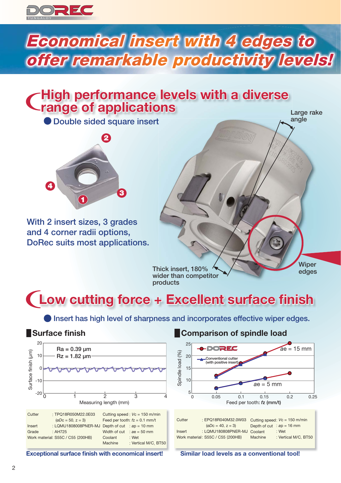

# **Economical insert with 4 edges to offer remarkable productivity levels!**

# **High performance levels with a diverse range of applications**

**1 2 4 3**

**With 2 insert sizes, 3 grades and 4 corner radii options, DoRec suits most applications.**

Large rake **angle Double sided square insert**  $\leftarrow$ <sup>a</sup>

> **Thick insert, 180% wider than competitor products**

**Wiper edges**

# **(Low cutting force + Excellent surface finish**

**Insert has high level of sharpness and incorporates effective wiper edges.** 

## **Surface finish**



**Exceptional surface finish with economical insert!** 

## **Comparison of spindle load**



| <b>UULLUI</b> | . LI WIULIUTUIVIUL.UVVUU          |         | $U$ outting speed. $V = 100$ member |
|---------------|-----------------------------------|---------|-------------------------------------|
|               | $(\emptyset Dc = 40, z = 3)$      |         | Depth of cut : $ap = 16$ mm         |
| Insert        | : LQMU180808PNER-MJ Coolant       |         | : Wet                               |
|               | Work material: S55C / C55 (200HB) | Machine | : Vertical M/C. BT50                |
|               |                                   |         |                                     |

**Similar load levels as a conventional tool!**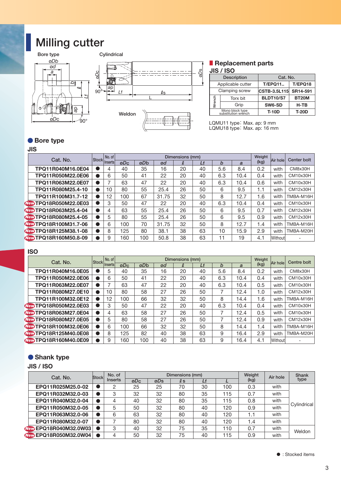# **Milling cutter**





#### **Replacement parts JIS / ISO**

|        | -----                                  |                     |              |  |  |  |  |  |  |
|--------|----------------------------------------|---------------------|--------------|--|--|--|--|--|--|
|        | <b>Description</b>                     | Cat. No.            |              |  |  |  |  |  |  |
|        | Applicable cutter                      | <b>T/EPQ11</b>      | T/EPQ18      |  |  |  |  |  |  |
|        | Clamping screw                         | <b>CSTB-3.5L115</b> | SR14-591     |  |  |  |  |  |  |
|        | Torx bit                               | <b>BLDT10/S7</b>    | <b>BT20M</b> |  |  |  |  |  |  |
| Wrench | Grip                                   | SW6-SD              | $H-TB$       |  |  |  |  |  |  |
|        | Mono block type<br>substitution wrench | $T-10D$             | <b>T-20D</b> |  |  |  |  |  |  |

#### ● Bore type

#### **JIS**

|                              |              |                |        |          |                 |                     |          |                  |                                        | Torx bit |                                                           | <b>BLDT10/S7</b> | BT <sub>20</sub> M   |
|------------------------------|--------------|----------------|--------|----------|-----------------|---------------------|----------|------------------|----------------------------------------|----------|-----------------------------------------------------------|------------------|----------------------|
| οŴ<br>) lo                   |              |                |        |          |                 |                     |          | Wrench           | Grip                                   |          |                                                           | SW6-SD           | H-TB                 |
| Ф                            |              |                | Weldon |          |                 |                     |          |                  | Mono block type<br>substitution wrench |          |                                                           | <b>T-10D</b>     | <b>T-20D</b>         |
| øDc<br>90°                   |              |                |        |          |                 |                     |          |                  |                                        |          |                                                           |                  |                      |
|                              |              |                |        |          |                 |                     |          |                  |                                        |          | LQMU11 type: Max. ap: 9 mm<br>LQMU18 type: Max. ap: 16 mm |                  |                      |
|                              |              |                |        |          |                 |                     |          |                  |                                        |          |                                                           |                  |                      |
| <b>Bore type</b>             |              |                |        |          |                 |                     |          |                  |                                        |          |                                                           |                  |                      |
| <b>JIS</b>                   |              |                |        |          |                 |                     |          |                  |                                        |          |                                                           |                  |                      |
|                              |              | No. of         |        |          |                 | Dimensions (mm)     |          |                  |                                        |          | Weight                                                    |                  |                      |
| Cat. No.                     | <b>Stock</b> | Inserts        | øDc    | øDb      | ød              | $\boldsymbol{\ell}$ | Lf       | $\boldsymbol{b}$ |                                        | a        | (kg)                                                      | Air hole         | <b>Center bolt</b>   |
| TPQ11R040M16.0E04            |              | $\overline{4}$ | 40     | 35       | 16              | 20                  | 40       | 5.6              |                                        | 8.4      | 0.2                                                       | with             | CM8x30H              |
| TPQ11R050M22.0E06            | $\bullet$    | 6              | 50     | 41       | 22              | 20                  | 40       | 6.3              |                                        | 10.4     | 0.4                                                       | with             | CM10x30H             |
| TPQ11R063M22.0E07            | $\bullet$    | $\overline{7}$ | 63     | 47       | $\overline{22}$ | 20                  | 40       | 6.3              |                                        | 10.4     | 0.6                                                       | with             | CM10x30H             |
| TPQ11R080M25.4-10            | $\bullet$    | 10             | 80     | 55       | 25.4            | 26                  | 50       | 6                |                                        | 9.5      | 1.1                                                       | with             | CM12x30H             |
| TPQ11R100M31.7-12            | $\bullet$    | 12             | 100    | 67       | 31.75           | 32                  | 50       | 8                |                                        | 12.7     | 1.6                                                       | with             | TMBA-M16H            |
| <b>New TPQ18R050M22.0E03</b> | $\bullet$    | 3              | 50     | 47       | 22              | 20                  | 40       | 6.3              |                                        | 10.4     | 0.4                                                       | with             | CM10x30H             |
| Ver TPQ18R063M25.4-04        | $\bullet$    | 4              | 63     | 55       | 25.4            | 26                  | 50       | 6                |                                        | 9.5      | 0.7                                                       | with             | <b>CM12x30H</b>      |
| <b>New TPQ18R080M25.4-05</b> | $\bullet$    | 5              | 80     | 55       | 25.4            | 26                  | 50       | 6                |                                        | 9.5      | 0.9                                                       | with             | CM12x30H             |
| <b>New TPQ18R100M31.7-06</b> | $\bullet$    | 6              | 100    | 70       | 31.75           | 32                  | 50       | 8                |                                        | 12.7     | 1.4                                                       | with             | TMBA-M16H            |
| New TPQ18R125M38.1-08        | $\bullet$    | 8              | 125    | 80       | 38.1            | 38                  | 63       | 10               |                                        | 15.9     | 2.9                                                       | with             | TMBA-M20H            |
| New TPQ18R160M50.8-09        | $\bullet$    | 9              | 160    | 100      | 50.8            | 38                  | 63       | 11               |                                        | 19       | 4.1                                                       | Without          |                      |
|                              |              |                |        |          |                 |                     |          |                  |                                        |          |                                                           |                  |                      |
| <b>ISO</b>                   |              |                |        |          |                 |                     |          |                  |                                        |          |                                                           |                  |                      |
| Cat. No.                     | <b>Stock</b> | No. of         |        |          |                 | Dimensions (mm)     |          |                  |                                        |          | Weight                                                    | Air hole         | Centre bolt          |
|                              |              | Inserts        | øDc    | øDb      | ød              | Q.                  | Lf       | b                |                                        | a        | (kg)                                                      |                  |                      |
| TPQ11R040M16.0E05            | $\bullet$    | 5              | 40     | 35       | 16              | 20                  | 40       | 5.6              |                                        | 8.4      | 0.2                                                       | with             | CM8x30H              |
| TPQ11R050M22.0E06            | $\bullet$    | 6              | 50     | 41       | 22              | 20                  | 40       | 6.3              |                                        | 10.4     | 0.4                                                       | with             | <b>CM10x30H</b>      |
| TPQ11R063M22.0E07            | $\bullet$    | 7              | 63     | 47       | 22              | 20                  | 40       | 6.3              |                                        | 10.4     | 0.5                                                       | with             | CM10x30H             |
| TPQ11R080M27.0E10            | $\bullet$    | 10             | 80     | 58       | 27              | 26                  | 50       | 7                |                                        | 12.4     | 1.0                                                       | with             | CM12x30H             |
| TPQ11R100M32.0E12            | $\bullet$    | 12             | 100    | 66       | 32              | 32                  | 50       | 8                |                                        | 14.4     | 1.6                                                       | with             | TMBA-M16H            |
| <b>New TPQ18R050M22.0E03</b> | $\bullet$    | 3              | 50     | 47       | 22              | 20                  | 40       | 6.3              |                                        | 10.4     | 0.4                                                       | with             | <b>CM10x30H</b>      |
| <b>New TPQ18R063M27.0E04</b> | $\bullet$    | 4              | 63     | 58       | 27              | 26                  | 50       | 7                |                                        | 12.4     | 0.5                                                       | with             | <b>CM10x30H</b>      |
| New TPQ18R080M27.0E05        | $\bullet$    | 5              | 80     | 58       | 27              | 26                  | 50       | 7                |                                        | 12.4     | 0.9                                                       | with             | CM12x30H             |
| <b>New TPQ18R100M32.0E06</b> | $\bullet$    | 6              | 100    | 66<br>82 | 32              | 32                  | 50<br>63 | 8                |                                        | 14.4     | 1.4                                                       | with             | TMBA-M16H            |
| New TPQ18R125M40.0E08        | $\bullet$    | 8              | 125    |          | 40              | 38                  |          | 9<br>9           |                                        | 16.4     | 2.9                                                       | with             | TMBA-M20H            |
| <b>New TPQ18R160M40.0E09</b> |              | 9              | 160    | 100      | 40              | 38                  | 63       |                  |                                        | 16.4     | 4.1                                                       | Without          |                      |
|                              |              |                |        |          |                 |                     |          |                  |                                        |          |                                                           |                  |                      |
| Shank type                   |              |                |        |          |                 |                     |          |                  |                                        |          |                                                           |                  |                      |
| JIS / ISO                    |              |                |        |          |                 |                     |          |                  |                                        |          |                                                           |                  |                      |
|                              |              | No. of         |        |          |                 | Dimensions (mm)     |          |                  |                                        |          | Weight                                                    |                  |                      |
| Cat. No.                     | Stock        | <b>Inserts</b> |        | aDc      | aDs             | $\ell$              | 1f       |                  |                                        |          | (kg)                                                      | Air hole         | <b>Shank</b><br>type |

#### **ISO**

| Cat. No.                     | Stock | No. of  | Dimensions (mm) |     |    |    |    |     |      |      | Air hole | Centre bolt |
|------------------------------|-------|---------|-----------------|-----|----|----|----|-----|------|------|----------|-------------|
|                              |       | Inserts | øD <sub>c</sub> | øDb | ød | l  | Lf | b   | a    | (kg) |          |             |
| TPQ11R040M16.0E05            |       | 5       | 40              | 35  | 16 | 20 | 40 | 5.6 | 8.4  | 0.2  | with     | CM8x30H     |
| TPQ11R050M22.0E06            |       | 6       | 50              | 41  | 22 | 20 | 40 | 6.3 | 10.4 | 0.4  | with     | CM10x30H    |
| TPQ11R063M22.0E07            |       |         | 63              | 47  | 22 | 20 | 40 | 6.3 | 10.4 | 0.5  | with     | CM10x30H    |
| TPQ11R080M27.0E10            |       | 10      | 80              | 58  | 27 | 26 | 50 |     | 12.4 | 1.0  | with     | CM12x30H    |
| TPQ11R100M32.0E12            |       | 12      | 100             | 66  | 32 | 32 | 50 | 8   | 14.4 | 1.6  | with     | TMBA-M16H   |
| <b>New TPQ18R050M22.0E03</b> |       | 3       | 50              | 47  | 22 | 20 | 40 | 6.3 | 10.4 | 0.4  | with     | CM10x30H    |
| <b>New TPQ18R063M27.0E04</b> |       |         | 63              | 58  | 27 | 26 | 50 |     | 12.4 | 0.5  | with     | CM10x30H    |
| <b>New TPO18R080M27.0E05</b> |       | 5       | 80              | 58  | 27 | 26 | 50 |     | 12.4 | 0.9  | with     | CM12x30H    |
| <b>New TPO18R100M32.0E06</b> |       | 6       | 100             | 66  | 32 | 32 | 50 | 8   | 14.4 | 1.4  | with     | TMBA-M16H   |
| <b>New TPQ18R125M40.0E08</b> |       | 8       | 125             | 82  | 40 | 38 | 63 | 9   | 16.4 | 2.9  | with     | TMBA-M20H   |
| <b>New TPQ18R160M40.0E09</b> |       | 9       | 160             | 100 | 40 | 38 | 63 | 9   | 16.4 | 4.1  | Without  |             |

#### **Shank type**

#### **JIS / ISO**

| Cat. No.                     | <b>Stock</b> | No. of  | Dimensions (mm) |     |     |    |     | Weight | Air hole | Shank       |
|------------------------------|--------------|---------|-----------------|-----|-----|----|-----|--------|----------|-------------|
|                              |              | Inserts | ØDc             | øDs | l s |    |     | (kg)   |          | type        |
| EPQ11R025M25.0-02            |              |         | 25              | 25  | 70  | 30 | 100 | 0.3    | with     |             |
| EPQ11R032M32.0-03            |              | 3       | 32              | 32  | 80  | 35 | 115 | 0.7    | with     |             |
| EPQ11R040M32.0-04            |              |         | 40              | 32  | 80  | 35 | 115 | 0.8    | with     | Cylindrical |
| EPQ11R050M32.0-05            |              | 5       | 50              | 32  | 80  | 40 | 120 | 0.9    | with     |             |
| EPQ11R063M32.0-06            |              | 6       | 63              | 32  | 80  | 40 | 120 | 1.1    | with     |             |
| EPQ11R080M32.0-07            |              |         | 80              | 32  | 80  | 40 | 120 | 1.4    | with     |             |
| New EPQ18R040M32.0W03   ●    |              | 3       | 40              | 32  | 75  | 35 | 110 | 0.7    | with     | Weldon      |
| <b>New EPQ18R050M32.0W04</b> |              |         | 50              | 32  | 75  | 40 | 115 | 0.9    | with     |             |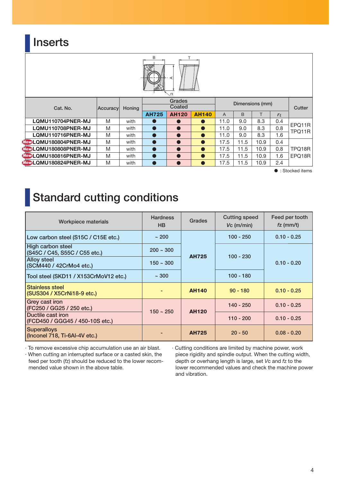## **Inserts**



 $\bullet$  : Stocked items

## **Standard cutting conditions**

| <b>Workpiece materials</b>                           | <b>Hardness</b><br><b>Grades</b><br>HB |              | <b>Cutting speed</b><br>$Vc$ (m/min) | Feed per tooth<br>$fz$ (mm/t) |  |
|------------------------------------------------------|----------------------------------------|--------------|--------------------------------------|-------------------------------|--|
| Low carbon steel (S15C / C15E etc.)                  | ~1200                                  |              | $100 - 250$                          | $0.10 - 0.25$                 |  |
| High carbon steel<br>(S45C / C45, S55C / C55 etc.)   | $200 - 300$                            | <b>AH725</b> | $100 - 230$                          | $0.10 - 0.20$                 |  |
| <b>Alloy steel</b><br>(SCM440 / 42CrMo4 etc.)        | $150 - 300$                            |              |                                      |                               |  |
| Tool steel (SKD11 / X153CrMoV12 etc.)                | ~100                                   |              | $100 - 180$                          |                               |  |
| Stainless steel<br>(SUS304 / X5CrNi18-9 etc.)        |                                        | <b>AH140</b> | $90 - 180$                           | $0.10 - 0.25$                 |  |
| Grey cast iron<br>(FC250 / GG25 / 250 etc.)          | $150 - 250$                            | <b>AH120</b> | $140 - 250$                          | $0.10 - 0.25$                 |  |
| Ductile cast iron<br>(FCD450 / GGG45 / 450-10S etc.) |                                        |              | $110 - 200$                          | $0.10 - 0.25$                 |  |
| <b>Superalloys</b><br>(Inconel 718, Ti-6AI-4V etc.)  |                                        | <b>AH725</b> | $20 - 50$                            | $0.08 - 0.20$                 |  |

· To remove excessive chip accumulation use an air blast. · When cutting an interrupted surface or a casted skin, the

feed per tooth (*f*z) should be reduced to the lower recommended value shown in the above table.

· Cutting conditions are limited by machine power, work piece rigidity and spindle output. When the cutting width, depth or overhang length is large, set *V*c and *f*z to the lower recommended values and check the machine power and vibration.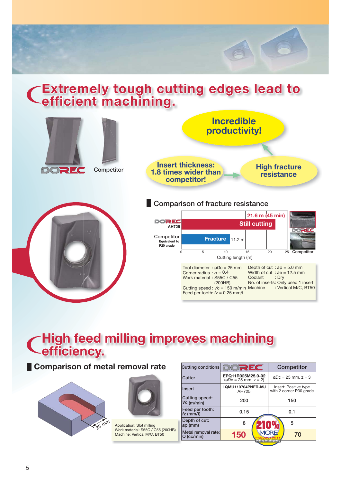# **Extremely tough cutting edges lead to <br>Cefficient machining.**



# **CHigh feed milling improves machining Cefficiency.**

## **Comparison of metal removal rate**





Application: Slot milling Work material: S55C / C55 (200HB) Machine: Vertical M/C, BT50

| EPQ11R025M25.0-02<br>$\omega$ Dc = 25 mm, z = 3<br>$(\emptyset Dc = 25$ mm, $z = 2)$ |
|--------------------------------------------------------------------------------------|
|                                                                                      |
| Insert: Positive type<br>LQMU110704PNER-MJ<br>with 2 corner P30 grade                |
| 150                                                                                  |
| 0.1                                                                                  |
| 5                                                                                    |
| <b>MORE</b><br>70<br>Milling Intelligently                                           |
|                                                                                      |